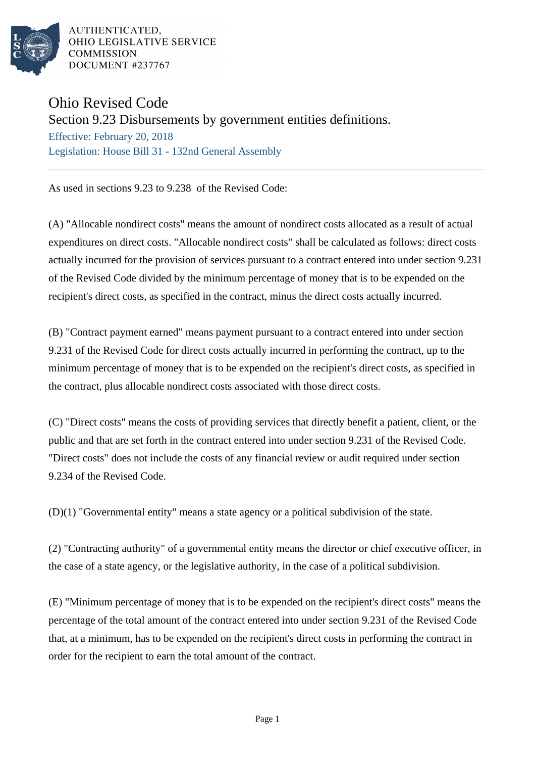

AUTHENTICATED. OHIO LEGISLATIVE SERVICE **COMMISSION** DOCUMENT #237767

## Ohio Revised Code

## Section 9.23 Disbursements by government entities definitions.

Effective: February 20, 2018 Legislation: House Bill 31 - 132nd General Assembly

As used in sections 9.23 to 9.238 of the Revised Code:

(A) "Allocable nondirect costs" means the amount of nondirect costs allocated as a result of actual expenditures on direct costs. "Allocable nondirect costs" shall be calculated as follows: direct costs actually incurred for the provision of services pursuant to a contract entered into under section 9.231 of the Revised Code divided by the minimum percentage of money that is to be expended on the recipient's direct costs, as specified in the contract, minus the direct costs actually incurred.

(B) "Contract payment earned" means payment pursuant to a contract entered into under section 9.231 of the Revised Code for direct costs actually incurred in performing the contract, up to the minimum percentage of money that is to be expended on the recipient's direct costs, as specified in the contract, plus allocable nondirect costs associated with those direct costs.

(C) "Direct costs" means the costs of providing services that directly benefit a patient, client, or the public and that are set forth in the contract entered into under section 9.231 of the Revised Code. "Direct costs" does not include the costs of any financial review or audit required under section 9.234 of the Revised Code.

(D)(1) "Governmental entity" means a state agency or a political subdivision of the state.

(2) "Contracting authority" of a governmental entity means the director or chief executive officer, in the case of a state agency, or the legislative authority, in the case of a political subdivision.

(E) "Minimum percentage of money that is to be expended on the recipient's direct costs" means the percentage of the total amount of the contract entered into under section 9.231 of the Revised Code that, at a minimum, has to be expended on the recipient's direct costs in performing the contract in order for the recipient to earn the total amount of the contract.